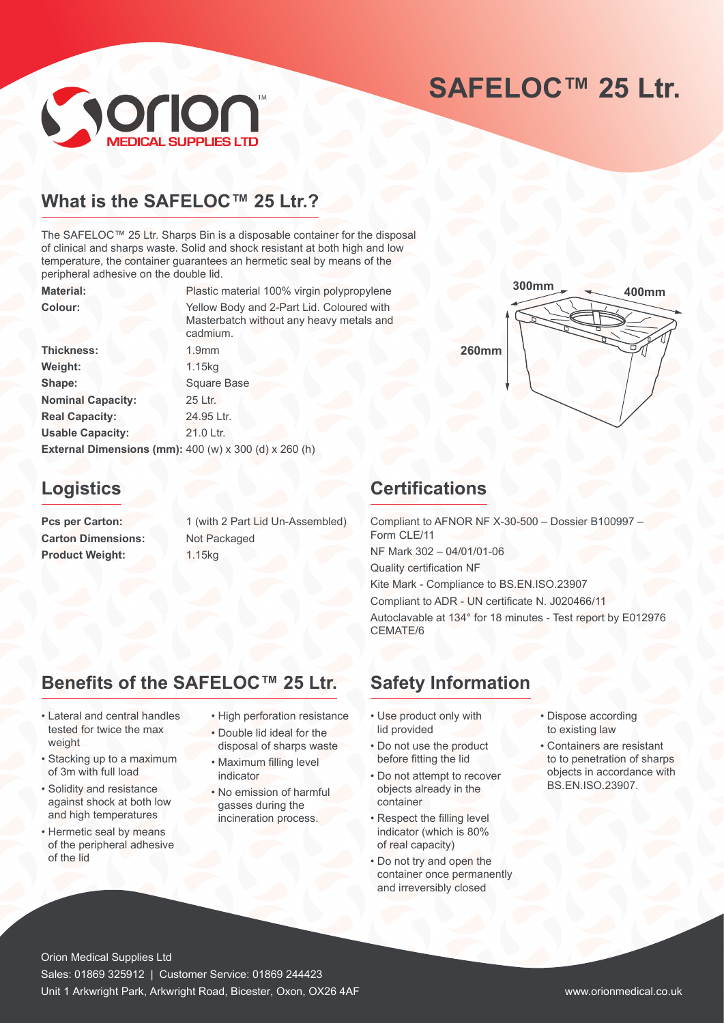# **SAFELOC™ 25 Ltr.**



## **What is the SAFELOC™ 25 Ltr.?**

The SAFELOC™ 25 Ltr. Sharps Bin is a disposable container for the disposal of clinical and sharps waste. Solid and shock resistant at both high and low temperature, the container guarantees an hermetic seal by means of the peripheral adhesive on the double lid.

Material: Plastic material 100% virgin polypropylene

**Colour:** Yellow Body and 2-Part Lid. Coloured with Masterbatch without any heavy metals and cadmium. **Thickness:** 1.9mm **Weight:** 1.15kg **Shape:** Square Base **Nominal Capacity:** 25 Ltr. **Real Capacity:** 24.95 Ltr. Usable Capacity: 21.0 Ltr. **External Dimensions (mm):** 400 (w) x 300 (d) x 260 (h)

## **Logistics**

**Carton Dimensions:** Not Packaged **Product Weight:** 1.15kg

Pcs per Carton: 1 (with 2 Part Lid Un-Assembled)

# **260mm 400mm 300mm**

## **Certifications**

Compliant to AFNOR NF X-30-500 – Dossier B100997 – Form CLE/11 NF Mark 302 – 04/01/01-06 Quality certification NF Kite Mark - Compliance to BS.EN.ISO.23907 Compliant to ADR - UN certificate N. J020466/11 Autoclavable at 134° for 18 minutes - Test report by E012976 CEMATE/6

## **Benefits of the SAFELOC™ 25 Ltr.**

- Lateral and central handles tested for twice the max weight
- Stacking up to a maximum of 3m with full load
- Solidity and resistance against shock at both low and high temperatures
- Hermetic seal by means of the peripheral adhesive of the lid
- High perforation resistance
- Double lid ideal for the disposal of sharps waste
- Maximum filling level indicator
- No emission of harmful gasses during the incineration process.
- **Safety Information**
- Use product only with lid provided
- Do not use the product before fitting the lid
- Do not attempt to recover objects already in the container
- Respect the filling level indicator (which is 80% of real capacity)
- Do not try and open the container once permanently and irreversibly closed
- Dispose according to existing law
- Containers are resistant to to penetration of sharps objects in accordance with BS.EN.ISO.23907.

Orion Medical Supplies Ltd Sales: 01869 325912 | Customer Service: 01869 244423 Unit 1 Arkwright Park, Arkwright Road, Bicester, Oxon, OX26 4AF www.orionmedical.co.uk